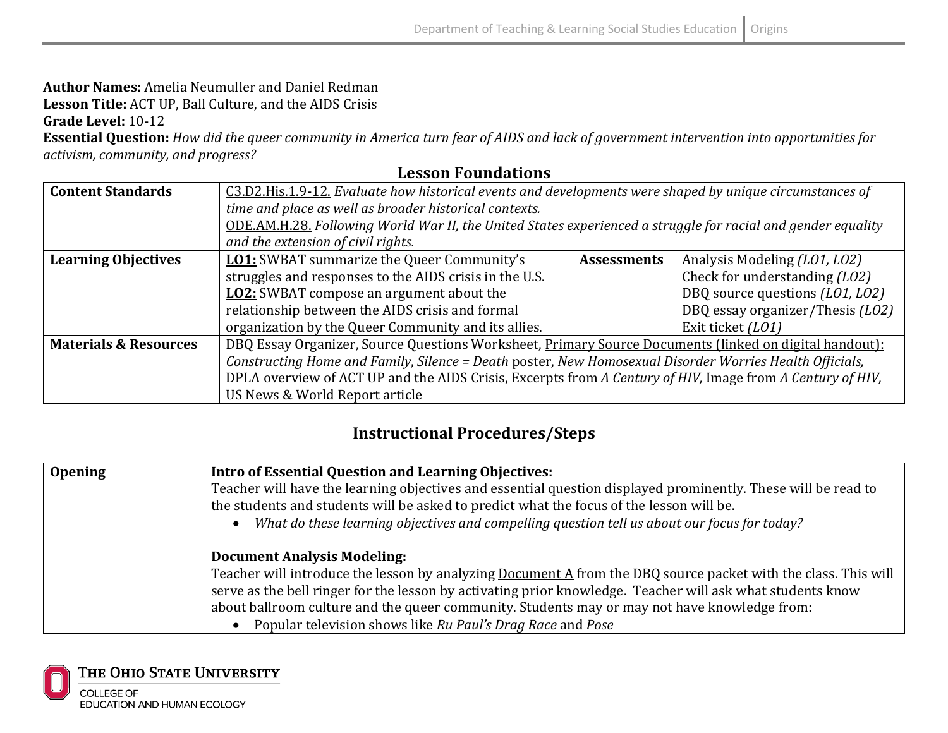## **Author Names:** Amelia Neumuller and Daniel Redman

**Lesson Title:** ACT UP, Ball Culture, and the AIDS Crisis

**Grade Level:** 10-12

**Essential Question:** *How did the queer community in America turn fear of AIDS and lack of government intervention into opportunities for* activism, community, and progress?

## **Lesson Foundations**

| <b>Content Standards</b>         | C3.D2.His.1.9-12. Evaluate how historical events and developments were shaped by unique circumstances of     |                    |                                  |
|----------------------------------|--------------------------------------------------------------------------------------------------------------|--------------------|----------------------------------|
|                                  | time and place as well as broader historical contexts.                                                       |                    |                                  |
|                                  | ODE.AM.H.28. Following World War II, the United States experienced a struggle for racial and gender equality |                    |                                  |
|                                  | and the extension of civil rights.                                                                           |                    |                                  |
| <b>Learning Objectives</b>       | <b>LO1:</b> SWBAT summarize the Queer Community's                                                            | <b>Assessments</b> | Analysis Modeling (L01, L02)     |
|                                  | struggles and responses to the AIDS crisis in the U.S.                                                       |                    | Check for understanding (LO2)    |
|                                  | <b>LO2:</b> SWBAT compose an argument about the                                                              |                    | DBQ source questions (L01, L02)  |
|                                  | relationship between the AIDS crisis and formal                                                              |                    | DBQ essay organizer/Thesis (LO2) |
|                                  | organization by the Queer Community and its allies.                                                          |                    | Exit ticket (L01)                |
| <b>Materials &amp; Resources</b> | DBQ Essay Organizer, Source Questions Worksheet, Primary Source Documents (linked on digital handout):       |                    |                                  |
|                                  | Constructing Home and Family, Silence = Death poster, New Homosexual Disorder Worries Health Officials,      |                    |                                  |
|                                  | DPLA overview of ACT UP and the AIDS Crisis, Excerpts from A Century of HIV, Image from A Century of HIV,    |                    |                                  |
|                                  | US News & World Report article                                                                               |                    |                                  |

## **Instructional Procedures/Steps**

| <b>Opening</b> | Intro of Essential Question and Learning Objectives:                                                                  |  |
|----------------|-----------------------------------------------------------------------------------------------------------------------|--|
|                | Teacher will have the learning objectives and essential question displayed prominently. These will be read to         |  |
|                | the students and students will be asked to predict what the focus of the lesson will be.                              |  |
|                | What do these learning objectives and compelling question tell us about our focus for today?<br>$\bullet$             |  |
|                |                                                                                                                       |  |
|                | <b>Document Analysis Modeling:</b>                                                                                    |  |
|                | Teacher will introduce the lesson by analyzing <b>Document A</b> from the DBQ source packet with the class. This will |  |
|                | serve as the bell ringer for the lesson by activating prior knowledge. Teacher will ask what students know            |  |
|                | about ballroom culture and the queer community. Students may or may not have knowledge from:                          |  |
|                | Popular television shows like Ru Paul's Drag Race and Pose                                                            |  |

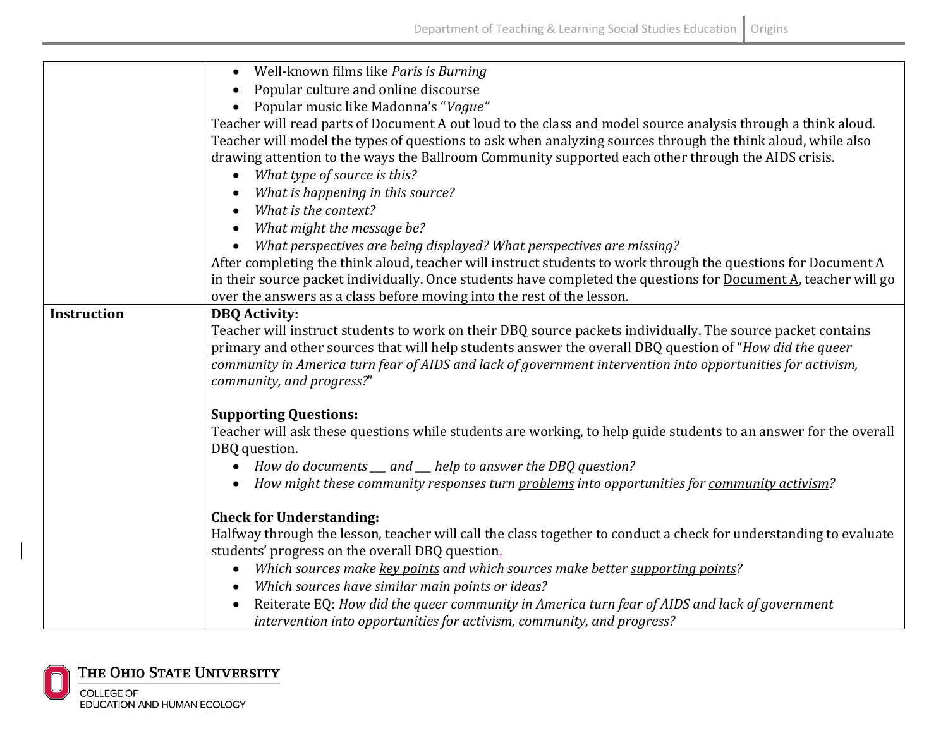|                    | Well-known films like Paris is Burning<br>$\bullet$                                                                                              |
|--------------------|--------------------------------------------------------------------------------------------------------------------------------------------------|
|                    | Popular culture and online discourse                                                                                                             |
|                    | Popular music like Madonna's "Vogue"                                                                                                             |
|                    | Teacher will read parts of Document A out loud to the class and model source analysis through a think aloud.                                     |
|                    | Teacher will model the types of questions to ask when analyzing sources through the think aloud, while also                                      |
|                    | drawing attention to the ways the Ballroom Community supported each other through the AIDS crisis.                                               |
|                    | What type of source is this?<br>$\bullet$                                                                                                        |
|                    | What is happening in this source?                                                                                                                |
|                    | What is the context?                                                                                                                             |
|                    | What might the message be?                                                                                                                       |
|                    | What perspectives are being displayed? What perspectives are missing?                                                                            |
|                    | After completing the think aloud, teacher will instruct students to work through the questions for Document A                                    |
|                    | in their source packet individually. Once students have completed the questions for Document A, teacher will go                                  |
|                    | over the answers as a class before moving into the rest of the lesson.                                                                           |
| <b>Instruction</b> | <b>DBQ</b> Activity:                                                                                                                             |
|                    | Teacher will instruct students to work on their DBQ source packets individually. The source packet contains                                      |
|                    | primary and other sources that will help students answer the overall DBQ question of "How did the queer                                          |
|                    | community in America turn fear of AIDS and lack of government intervention into opportunities for activism,                                      |
|                    | community, and progress?"                                                                                                                        |
|                    |                                                                                                                                                  |
|                    | <b>Supporting Questions:</b><br>Teacher will ask these questions while students are working, to help guide students to an answer for the overall |
|                    | DBQ question.                                                                                                                                    |
|                    | • How do documents __ and __ help to answer the DBQ question?                                                                                    |
|                    | How might these community responses turn problems into opportunities for community activism?                                                     |
|                    |                                                                                                                                                  |
|                    | <b>Check for Understanding:</b>                                                                                                                  |
|                    | Halfway through the lesson, teacher will call the class together to conduct a check for understanding to evaluate                                |
|                    | students' progress on the overall DBQ question.                                                                                                  |
|                    | Which sources make key points and which sources make better supporting points?                                                                   |
|                    | Which sources have similar main points or ideas?                                                                                                 |
|                    | Reiterate EQ: How did the queer community in America turn fear of AIDS and lack of government                                                    |
|                    | intervention into opportunities for activism, community, and progress?                                                                           |